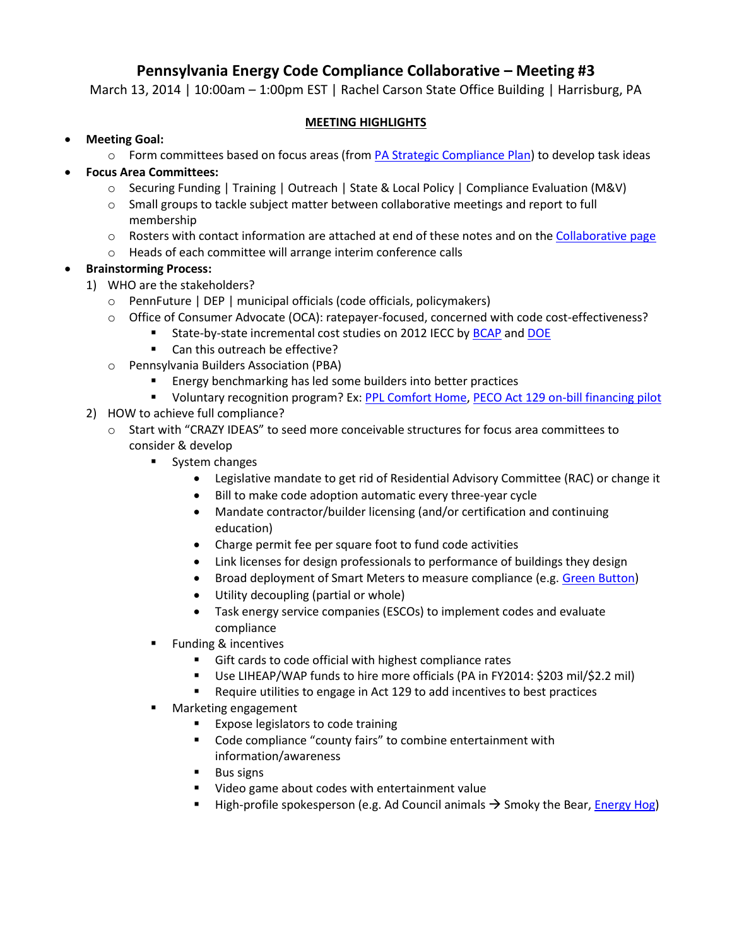# **Pennsylvania Energy Code Compliance Collaborative – Meeting #3**

March 13, 2014 | 10:00am - 1:00pm EST | Rachel Carson State Office Building | Harrisburg, PA

## **MEETING HIGHLIGHTS**

- **Meeting Goal:** 
	- $\circ$  Form committees based on focus areas (from [PA Strategic Compliance Plan\)](http://energycodesocean.org/resource/pennsylvania-strategic-compliance-plan) to develop task ideas

# **Focus Area Committees:**

- o Securing Funding | Training | Outreach | State & Local Policy | Compliance Evaluation (M&V)
- $\circ$  Small groups to tackle subject matter between collaborative meetings and report to full membership
- o Rosters with contact information are attached at end of these notes and on the [Collaborative page](http://energycodesocean.org/pennsylvania-energy-code-compliance-collaborative)
- o Heads of each committee will arrange interim conference calls

# **Brainstorming Process:**

- 1) WHO are the stakeholders?
	- o PennFuture | DEP | municipal officials (code officials, policymakers)
	- o Office of Consumer Advocate (OCA): ratepayer-focused, concerned with code cost-effectiveness?
		- State-by-state incremental cost studies on 2012 IECC b[y BCAP](http://energycodesocean.org/incremental-cost-analysis) and [DOE](http://www.energycodes.gov/residential-iecc-cost-effectiveness-analysis-and-results-0)
			- Can this outreach be effective?
	- o Pennsylvania Builders Association (PBA)
		- **Energy benchmarking has led some builders into better practices**
		- **UDITY 12 Voluntary recognition program? Ex[: PPL Comfort Home,](http://www.eeprograms.net/ppl/home/) [PECO Act 129 on-bill financing pilot](http://www.puc.state.pa.us/Electric/pdf/Act129/OBF_Topics-PECO021513.pdf)**
- 2) HOW to achieve full compliance?
	- o Start with "CRAZY IDEAS" to seed more conceivable structures for focus area committees to consider & develop
		- **System changes** 
			- Legislative mandate to get rid of Residential Advisory Committee (RAC) or change it
			- Bill to make code adoption automatic every three-year cycle
			- Mandate contractor/builder licensing (and/or certification and continuing education)
			- Charge permit fee per square foot to fund code activities
			- Link licenses for design professionals to performance of buildings they design
			- Broad deployment of Smart Meters to measure compliance (e.g. [Green Button\)](http://www.greenbuttondata.org/)
			- Utility decoupling (partial or whole)
			- Task energy service companies (ESCOs) to implement codes and evaluate compliance
		- Funding & incentives
			- Gift cards to code official with highest compliance rates
			- Use LIHEAP/WAP funds to hire more officials (PA in FY2014: \$203 mil/\$2.2 mil)
			- Require utilities to engage in Act 129 to add incentives to best practices
		- **Narketing engagement** 
			- Expose legislators to code training
			- Code compliance "county fairs" to combine entertainment with information/awareness
			- **Bus signs**
			- Video game about codes with entertainment value
			- **High-profile spokesperson (e.g. Ad Council animals**  $\rightarrow$  **Smoky the Bear, [Energy Hog\)](http://www.energyhog.org/)**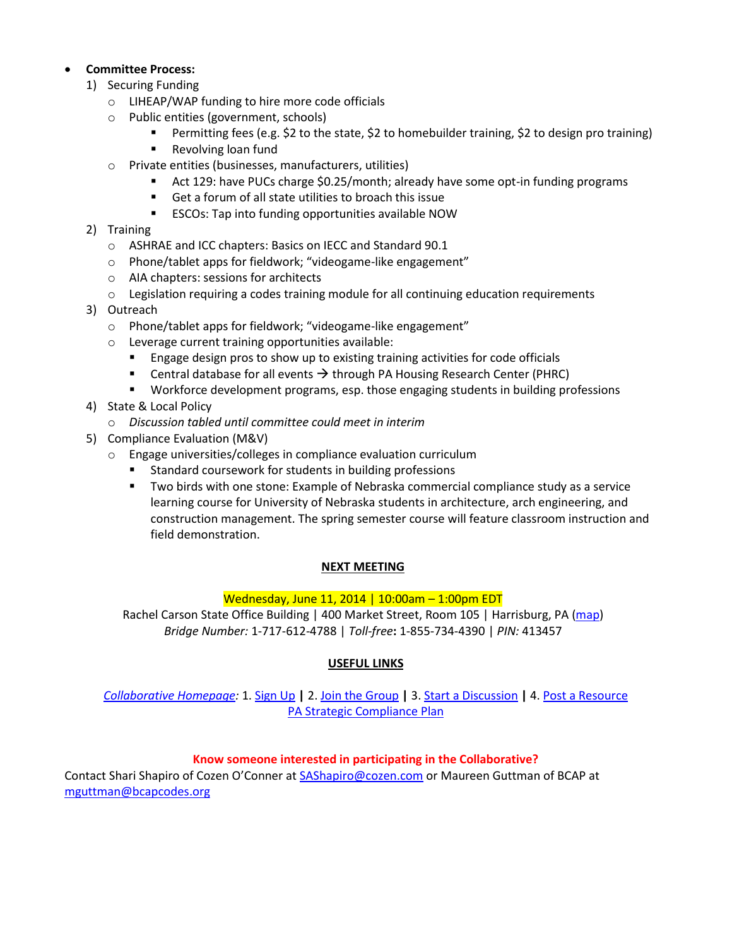## **Committee Process:**

- 1) Securing Funding
	- o LIHEAP/WAP funding to hire more code officials
	- o Public entities (government, schools)
		- Permitting fees (e.g. \$2 to the state, \$2 to homebuilder training, \$2 to design pro training)
		- Revolving loan fund
	- o Private entities (businesses, manufacturers, utilities)
		- Act 129: have PUCs charge \$0.25/month; already have some opt-in funding programs
		- Get a forum of all state utilities to broach this issue
		- ESCOs: Tap into funding opportunities available NOW
- 2) Training
	- o ASHRAE and ICC chapters: Basics on IECC and Standard 90.1
	- o Phone/tablet apps for fieldwork; "videogame-like engagement"
	- o AIA chapters: sessions for architects
	- $\circ$  Legislation requiring a codes training module for all continuing education requirements
- 3) Outreach
	- o Phone/tablet apps for fieldwork; "videogame-like engagement"
	- o Leverage current training opportunities available:
		- **Engage design pros to show up to existing training activities for code officials**
		- **Central database for all events**  $\rightarrow$  **through PA Housing Research Center (PHRC)**
		- Workforce development programs, esp. those engaging students in building professions
- 4) State & Local Policy
	- o *Discussion tabled until committee could meet in interim*
- 5) Compliance Evaluation (M&V)
	- o Engage universities/colleges in compliance evaluation curriculum
		- Standard coursework for students in building professions
		- Two birds with one stone: Example of Nebraska commercial compliance study as a service learning course for University of Nebraska students in architecture, arch engineering, and construction management. The spring semester course will feature classroom instruction and field demonstration.

### **NEXT MEETING**

### Wednesday, June 11, 2014 | 10:00am – 1:00pm EDT

Rachel Carson State Office Building | 400 Market Street, Room 105 | Harrisburg, PA [\(map\)](https://www.google.com/maps/place/Rachel+Carson+State+Office+Building/@40.262458,-76.879696,17z/data=!3m1!4b1!4m2!3m1!1s0x0:0x99362f105f4c18eb) *Bridge Number:* 1-717-612-4788 | *Toll-free***:** 1-855-734-4390 | *PIN:* 413457

## **USEFUL LINKS**

*[Collaborative Homepage:](http://energycodesocean.org/pennsylvania-energy-code-compliance-collaborative)* 1. [Sign Up](http://energycodesocean.org/user/register) **|** 2. [Join the Group](http://energycodesocean.org/group/pennsylvania-energy-code-compliance-collaborative) **|** 3. [Start a Discussion](http://energycodesocean.org/node/add/discussion?gids%5b%5d=3460) **|** 4. [Post a Resource](http://energycodesocean.org/node/add/resource?gids%5b%5d=3460) [PA Strategic Compliance Plan](http://energycodesocean.org/resource/pennsylvania-strategic-compliance-plan)

### **Know someone interested in participating in the Collaborative?**

Contact Shari Shapiro of Cozen O'Conner at **[SAShapiro@cozen.com](mailto:SAShapiro@cozen.com)** or Maureen Guttman of BCAP at [mguttman@bcapcodes.org](mailto:mguttman@bcapcodes.org)